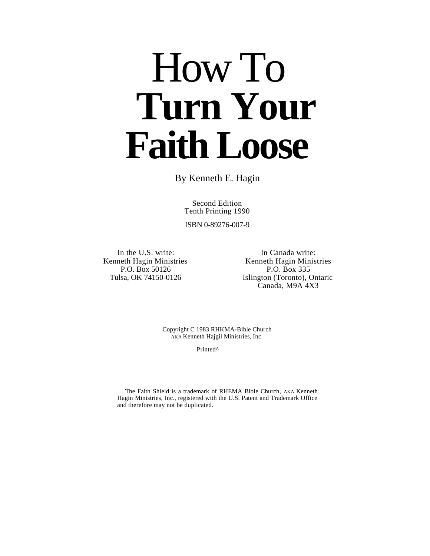# How To **Turn Your Faith Loose**

By Kenneth E. Hagin

Second Edition Tenth Printing 1990

ISBN 0-89276-007-9

In the U.S. write: In Canada write: Kenneth Hagin Ministries Kenneth Hagin Ministries P.O. Box 50126 P.O. Box 335 Tulsa, OK 74150-0126 Islington (Toronto), Ontaric Canada, M9A 4X3

> Copyright C 1983 RHKMA-Bible Church AKA Kenneth Hajgil Ministries, Inc.

> > Printed^

The Faith Shield is a trademark of RHEMA Bible Church, AKA Kenneth Hagin Ministries, Inc., registered with the U.S. Patent and Trademark Office and therefore may not be duplicated.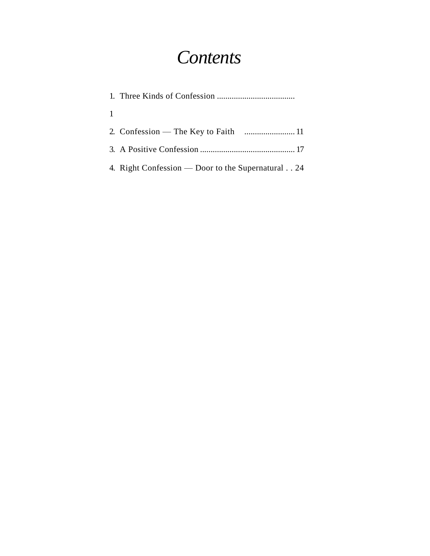## *Contents*

| $\overline{1}$ |                                                   |
|----------------|---------------------------------------------------|
|                |                                                   |
|                |                                                   |
|                | 4. Right Confession — Door to the Supernatural 24 |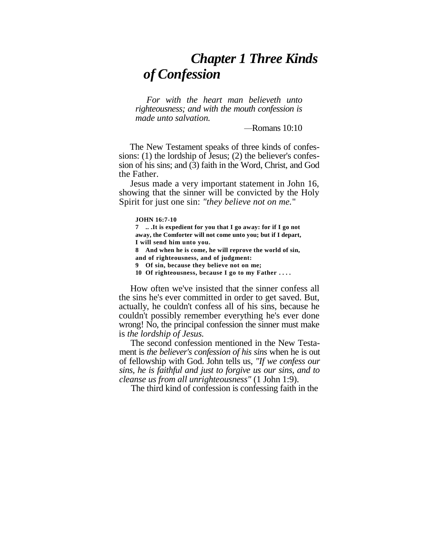## *Chapter 1 Three Kinds of Confession*

*For with the heart man believeth unto righteousness; and with the mouth confession is made unto salvation.*

*—*Romans 10:10

The New Testament speaks of three kinds of confessions: (1) the lordship of Jesus; (2) the believer's confession of his sins; and (3) faith in the Word, Christ, and God the Father.

Jesus made a very important statement in John 16, showing that the sinner will be convicted by the Holy Spirit for just one sin: *"they believe not on me.*"

**JOHN 16:7-10**

**7 .. .It is expedient for you that I go away: for if I go not away, the Comforter will not come unto you; but if I depart, I will send him unto you. 8 And when he is come, he will reprove the world of sin, and of righteousness, and of judgment: 9 Of sin, because they believe not on me;**

**10 Of righteousness, because I go to my Father ....**

How often we've insisted that the sinner confess all the sins he's ever committed in order to get saved. But, actually, he couldn't confess all of his sins, because he couldn't possibly remember everything he's ever done wrong! No, the principal confession the sinner must make is *the lordship of Jesus.*

The second confession mentioned in the New Testament is *the believer's confession of his sins* when he is out of fellowship with God. John tells us, *"If we confess our sins, he is faithful and just to forgive us our sins, and to cleanse us from all unrighteousness"* (1 John 1:9).

The third kind of confession is confessing faith in the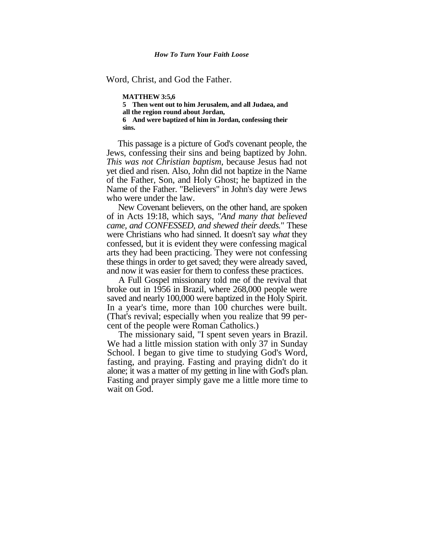Word, Christ, and God the Father.

**MATTHEW 3:5,6**

**5 Then went out to him Jerusalem, and all Judaea, and all the region round about Jordan, 6 And were baptized of him in Jordan, confessing their**

**sins.**

This passage is a picture of God's covenant people, the Jews, confessing their sins and being baptized by John. *This was not Christian baptism,* because Jesus had not yet died and risen. Also, John did not baptize in the Name of the Father, Son, and Holy Ghost; he baptized in the Name of the Father. "Believers" in John's day were Jews who were under the law.

New Covenant believers, on the other hand, are spoken of in Acts 19:18, which says, *"And many that believed came, and CONFESSED, and shewed their deeds.*" These were Christians who had sinned. It doesn't say *what* they confessed, but it is evident they were confessing magical arts they had been practicing. They were not confessing these things in order to get saved; they were already saved, and now it was easier for them to confess these practices.

A Full Gospel missionary told me of the revival that broke out in 1956 in Brazil, where 268,000 people were saved and nearly 100,000 were baptized in the Holy Spirit. In a year's time, more than 100 churches were built. (That's revival; especially when you realize that 99 percent of the people were Roman Catholics.)

The missionary said, "I spent seven years in Brazil. We had a little mission station with only 37 in Sunday School. I began to give time to studying God's Word, fasting, and praying. Fasting and praying didn't do it alone; it was a matter of my getting in line with God's plan. Fasting and prayer simply gave me a little more time to wait on God.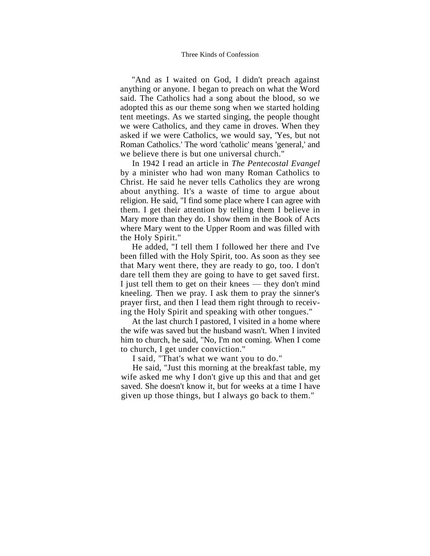"And as I waited on God, I didn't preach against anything or anyone. I began to preach on what the Word said. The Catholics had a song about the blood, so we adopted this as our theme song when we started holding tent meetings. As we started singing, the people thought we were Catholics, and they came in droves. When they asked if we were Catholics, we would say, 'Yes, but not Roman Catholics.' The word 'catholic' means 'general,' and we believe there is but one universal church."

In 1942 I read an article in *The Pentecostal Evangel*  by a minister who had won many Roman Catholics to Christ. He said he never tells Catholics they are wrong about anything. It's a waste of time to argue about religion. He said, "I find some place where I can agree with them. I get their attention by telling them I believe in Mary more than they do. I show them in the Book of Acts where Mary went to the Upper Room and was filled with the Holy Spirit."

He added, "I tell them I followed her there and I've been filled with the Holy Spirit, too. As soon as they see that Mary went there, they are ready to go, too. I don't dare tell them they are going to have to get saved first. I just tell them to get on their knees — they don't mind kneeling. Then we pray. I ask them to pray the sinner's prayer first, and then I lead them right through to receiving the Holy Spirit and speaking with other tongues."

At the last church I pastored, I visited in a home where the wife was saved but the husband wasn't. When I invited him to church, he said, "No, I'm not coming. When I come to church, I get under conviction."

I said, "That's what we want you to do."

He said, "Just this morning at the breakfast table, my wife asked me why I don't give up this and that and get saved. She doesn't know it, but for weeks at a time I have given up those things, but I always go back to them."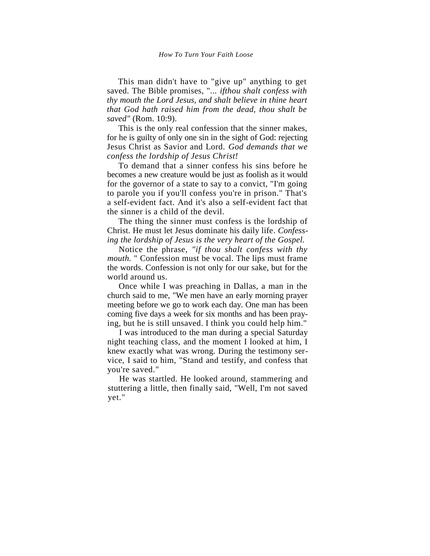This man didn't have to "give up" anything to get saved. The Bible promises, "... *ifthou shalt confess with thy mouth the Lord Jesus, and shalt believe in thine heart that God hath raised him from the dead, thou shalt be saved"* (Rom. 10:9).

This is the only real confession that the sinner makes, for he is guilty of only one sin in the sight of God: rejecting Jesus Christ as Savior and Lord. *God demands that we confess the lordship of Jesus Christ!*

To demand that a sinner confess his sins before he becomes a new creature would be just as foolish as it would for the governor of a state to say to a convict, "I'm going to parole you if you'll confess you're in prison." That's a self-evident fact. And it's also a self-evident fact that the sinner is a child of the devil.

The thing the sinner must confess is the lordship of Christ. He must let Jesus dominate his daily life. *Confessing the lordship of Jesus is the very heart of the Gospel.*

Notice the phrase, *"if thou shalt confess with thy mouth.* " Confession must be vocal. The lips must frame the words. Confession is not only for our sake, but for the world around us.

Once while I was preaching in Dallas, a man in the church said to me, "We men have an early morning prayer meeting before we go to work each day. One man has been coming five days a week for six months and has been praying, but he is still unsaved. I think you could help him."

I was introduced to the man during a special Saturday night teaching class, and the moment I looked at him, I knew exactly what was wrong. During the testimony service, I said to him, "Stand and testify, and confess that you're saved."

He was startled. He looked around, stammering and stuttering a little, then finally said, "Well, I'm not saved yet."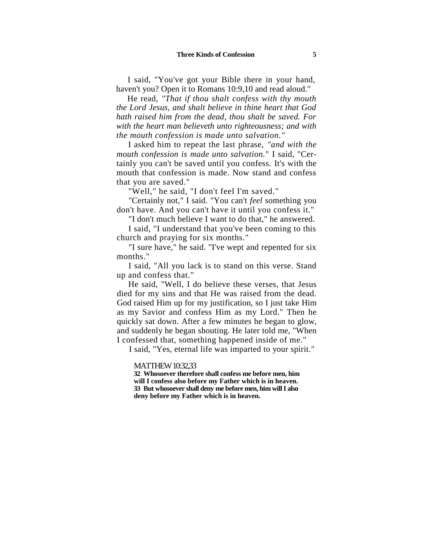I said, "You've got your Bible there in your hand, haven't you? Open it to Romans 10:9,10 and read aloud."

He read, *"That if thou shalt confess with thy mouth the Lord Jesus, and shalt believe in thine heart that God hath raised him from the dead, thou shalt be saved. For with the heart man believeth unto righteousness; and with the mouth confession is made unto salvation."*

I asked him to repeat the last phrase, *"and with the mouth confession is made unto salvation.*" I said, "Certainly you can't be saved until you confess. It's with the mouth that confession is made. Now stand and confess that you are saved."

"Well," he said, "I don't feel I'm saved."

"Certainly not," I said. "You can't *feel* something you don't have. And you can't have it until you confess it."

"I don't much believe I want to do that," he answered.

I said, "I understand that you've been coming to this church and praying for six months."

"I sure have," he said. "I've wept and repented for six months."

I said, "All you lack is to stand on this verse. Stand up and confess that."

He said, "Well, I do believe these verses, that Jesus died for my sins and that He was raised from the dead. God raised Him up for my justification, so I just take Him as my Savior and confess Him as my Lord." Then he quickly sat down. After a few minutes he began to glow, and suddenly he began shouting. He later told me, "When I confessed that, something happened inside of me."

I said, "Yes, eternal life was imparted to your spirit."

MATTHEW 10:32,33

**32 Whosoever therefore shall confess me before men, him will I confess also before my Father which is in heaven. 33 But whosoever shall deny me before men, him will I also deny before my Father which is in heaven.**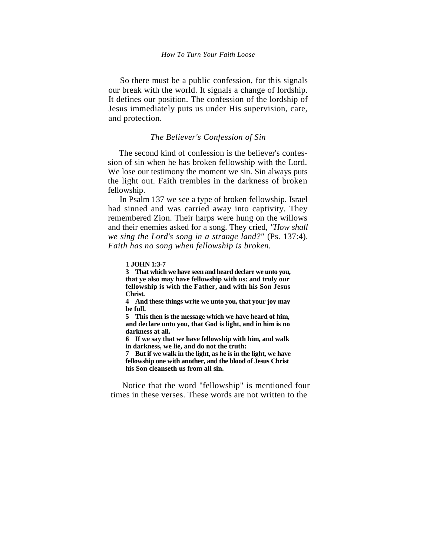So there must be a public confession, for this signals our break with the world. It signals a change of lordship. It defines our position. The confession of the lordship of Jesus immediately puts us under His supervision, care, and protection.

#### *The Believer's Confession of Sin*

The second kind of confession is the believer's confession of sin when he has broken fellowship with the Lord. We lose our testimony the moment we sin. Sin always puts the light out. Faith trembles in the darkness of broken fellowship.

In Psalm 137 we see a type of broken fellowship. Israel had sinned and was carried away into captivity. They remembered Zion. Their harps were hung on the willows and their enemies asked for a song. They cried, *"How shall we sing the Lord's song in a strange land?"* (Ps. 137:4). *Faith has no song when fellowship is broken.*

#### **1 JOHN 1:3-7**

**3 That which we have seen and heard declare we unto you, that ye also may have fellowship with us: and truly our fellowship is with the Father, and with his Son Jesus Christ.**

**4 And these things write we unto you, that your joy may be full.**

**5 This then is the message which we have heard of him, and declare unto you, that God is light, and in him is no darkness at all.**

**6 If we say that we have fellowship with him, and walk in darkness, we lie, and do not the truth:**

**7 But if we walk in the light, as he is in the light, we have fellowship one with another, and the blood of Jesus Christ his Son cleanseth us from all sin.**

Notice that the word "fellowship" is mentioned four times in these verses. These words are not written to the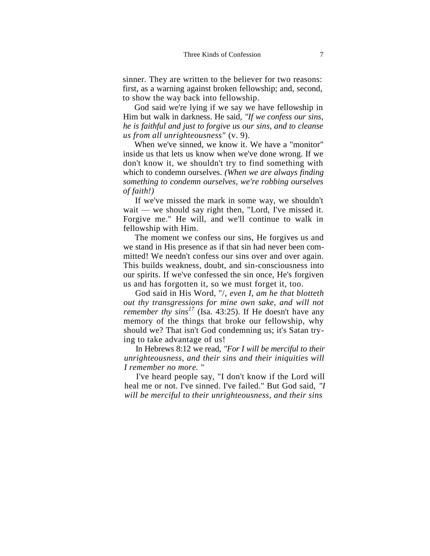sinner. They are written to the believer for two reasons: first, as a warning against broken fellowship; and, second, to show the way back into fellowship.

God said we're lying if we say we have fellowship in Him but walk in darkness. He said, *"If we confess our sins, he is faithful and just to forgive us our sins, and to cleanse us from all unrighteousness"* (v. 9).

When we've sinned, we know it. We have a "monitor" inside us that lets us know when we've done wrong. If we don't know it, we shouldn't try to find something with which to condemn ourselves. *(When we are always finding something to condemn ourselves, we're robbing ourselves of faith!)*

If we've missed the mark in some way, we shouldn't wait — we should say right then, "Lord, I've missed it. Forgive me." He will, and we'll continue to walk in fellowship with Him.

The moment we confess our sins, He forgives us and we stand in His presence as if that sin had never been committed! We needn't confess our sins over and over again. This builds weakness, doubt, and sin-consciousness into our spirits. If we've confessed the sin once, He's forgiven us and has forgotten it, so we must forget it, too.

God said in His Word, "/, *even I, am he that blotteth out thy transgressions for mine own sake, and will not remember thy sins<sup>17</sup>* (Isa. 43:25). If He doesn't have any memory of the things that broke our fellowship, why should we? That isn't God condemning us; it's Satan trying to take advantage of us!

In Hebrews 8:12 we read, *"For I will be merciful to their unrighteousness, and their sins and their iniquities will I remember no more.* "

I've heard people say, "I don't know if the Lord will heal me or not. I've sinned. I've failed." But God said, *"I will be merciful to their unrighteousness, and their sins*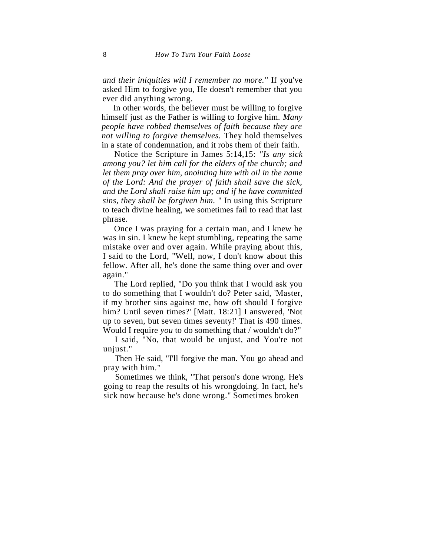*and their iniquities will I remember no more.*" If you've asked Him to forgive you, He doesn't remember that you ever did anything wrong.

In other words, the believer must be willing to forgive himself just as the Father is willing to forgive him. *Many people have robbed themselves of faith because they are not willing to forgive themselves.* They hold themselves in a state of condemnation, and it robs them of their faith.

Notice the Scripture in James 5:14,15: *"Is any sick among you? let him call for the elders of the church; and let them pray over him, anointing him with oil in the name of the Lord: And the prayer of faith shall save the sick, and the Lord shall raise him up; and if he have committed sins, they shall be forgiven him.* " In using this Scripture to teach divine healing, we sometimes fail to read that last phrase.

Once I was praying for a certain man, and I knew he was in sin. I knew he kept stumbling, repeating the same mistake over and over again. While praying about this, I said to the Lord, "Well, now, I don't know about this fellow. After all, he's done the same thing over and over again."

The Lord replied, "Do you think that I would ask you to do something that I wouldn't do? Peter said, 'Master, if my brother sins against me, how oft should I forgive him? Until seven times?' [Matt. 18:21] I answered, 'Not up to seven, but seven times seventy!' That is 490 times. Would I require *you* to do something that / wouldn't do?"

I said, "No, that would be unjust, and You're not unjust."

Then He said, "I'll forgive the man. You go ahead and pray with him."

Sometimes we think, "That person's done wrong. He's going to reap the results of his wrongdoing. In fact, he's sick now because he's done wrong." Sometimes broken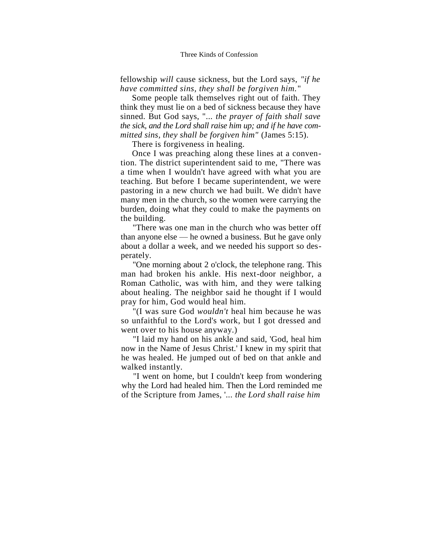fellowship *will* cause sickness, but the Lord says, *"if he have committed sins, they shall be forgiven him.*"

Some people talk themselves right out of faith. They think they must lie on a bed of sickness because they have sinned. But God says, "... *the prayer of faith shall save the sick, and the Lord shall raise him up; and if he have committed sins, they shall be forgiven him"* (James 5:15).

There is forgiveness in healing.

Once I was preaching along these lines at a convention. The district superintendent said to me, "There was a time when I wouldn't have agreed with what you are teaching. But before I became superintendent, we were pastoring in a new church we had built. We didn't have many men in the church, so the women were carrying the burden, doing what they could to make the payments on the building.

"There was one man in the church who was better off than anyone else — he owned a business. But he gave only about a dollar a week, and we needed his support so desperately.

"One morning about 2 o'clock, the telephone rang. This man had broken his ankle. His next-door neighbor, a Roman Catholic, was with him, and they were talking about healing. The neighbor said he thought if I would pray for him, God would heal him.

"(I was sure God *wouldn't* heal him because he was so unfaithful to the Lord's work, but I got dressed and went over to his house anyway.)

"I laid my hand on his ankle and said, 'God, heal him now in the Name of Jesus Christ.' I knew in my spirit that he was healed. He jumped out of bed on that ankle and walked instantly.

"I went on home, but I couldn't keep from wondering why the Lord had healed him. Then the Lord reminded me of the Scripture from James, '... *the Lord shall raise him*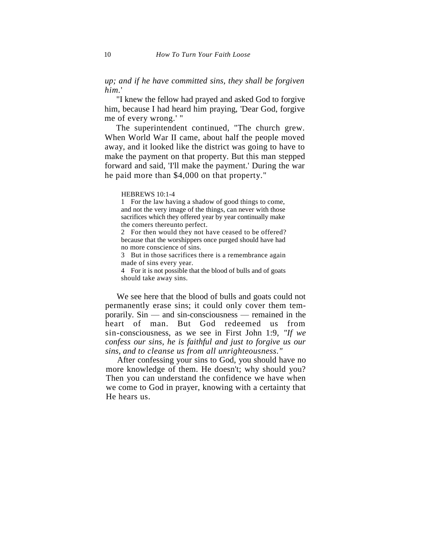*up; and if he have committed sins, they shall be forgiven him.*'

"I knew the fellow had prayed and asked God to forgive him, because I had heard him praying, 'Dear God, forgive me of every wrong.' "

The superintendent continued, "The church grew. When World War II came, about half the people moved away, and it looked like the district was going to have to make the payment on that property. But this man stepped forward and said, 'I'll make the payment.' During the war he paid more than \$4,000 on that property."

HEBREWS 10:1-4

1 For the law having a shadow of good things to come, and not the very image of the things, can never with those sacrifices which they offered year by year continually make the comers thereunto perfect.

2 For then would they not have ceased to be offered? because that the worshippers once purged should have had no more conscience of sins.

3 But in those sacrifices there is a remembrance again made of sins every year.

4 For it is not possible that the blood of bulls and of goats should take away sins.

We see here that the blood of bulls and goats could not permanently erase sins; it could only cover them temporarily. Sin — and sin-consciousness — remained in the heart of man. But God redeemed us from sin-consciousness, as we see in First John 1:9, *"If we confess our sins, he is faithful and just to forgive us our sins, and to cleanse us from all unrighteousness."*

After confessing your sins to God, you should have no more knowledge of them. He doesn't; why should you? Then you can understand the confidence we have when we come to God in prayer, knowing with a certainty that He hears us.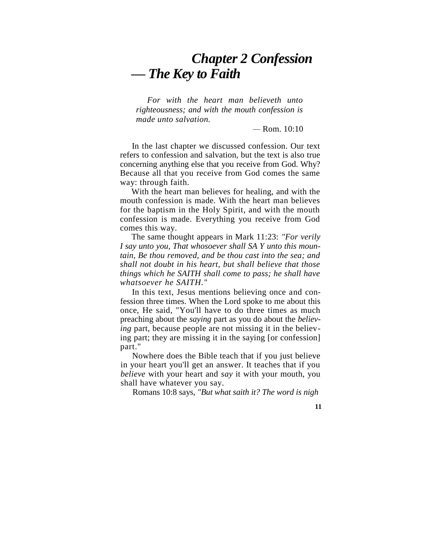## *Chapter 2 Confession*  **—** *The Key to Faith*

*For with the heart man believeth unto righteousness; and with the mouth confession is made unto salvation.*

*—* Rom. 10:10

In the last chapter we discussed confession. Our text refers to confession and salvation, but the text is also true concerning anything else that you receive from God. Why? Because all that you receive from God comes the same way: through faith.

With the heart man believes for healing, and with the mouth confession is made. With the heart man believes for the baptism in the Holy Spirit, and with the mouth confession is made. Everything you receive from God comes this way.

The same thought appears in Mark 11:23: *"For verily I say unto you, That whosoever shall SA Y unto this mountain, Be thou removed, and be thou cast into the sea; and shall not doubt in his heart, but shall believe that those things which he SAITH shall come to pass; he shall have whatsoever he SAITH.*"

In this text, Jesus mentions believing once and confession three times. When the Lord spoke to me about this once, He said, "You'll have to do three times as much preaching about the *saying* part as you do about the *believing* part, because people are not missing it in the believing part; they are missing it in the saying [or confession] part."

Nowhere does the Bible teach that if you just believe in your heart you'll get an answer. It teaches that if you *believe* with your heart and *say* it with your mouth, you shall have whatever you say.

Romans 10:8 says, *"But what saith it? The word is nigh*

**11**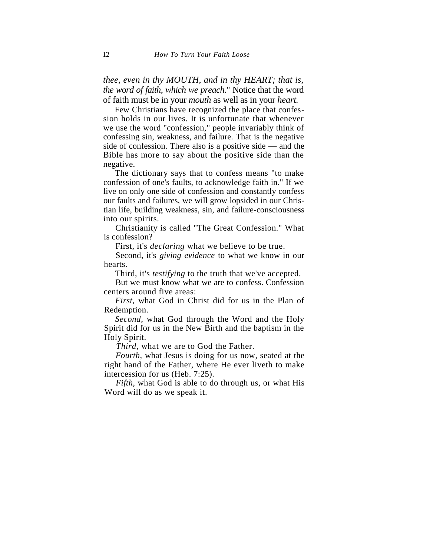*thee, even in thy MOUTH, and in thy HEART; that is, the word of faith, which we preach.*" Notice that the word of faith must be in your *mouth* as well as in your *heart.*

Few Christians have recognized the place that confession holds in our lives. It is unfortunate that whenever we use the word "confession," people invariably think of confessing sin, weakness, and failure. That is the negative side of confession. There also is a positive side — and the Bible has more to say about the positive side than the negative.

The dictionary says that to confess means "to make confession of one's faults, to acknowledge faith in." If we live on only one side of confession and constantly confess our faults and failures, we will grow lopsided in our Christian life, building weakness, sin, and failure-consciousness into our spirits.

Christianity is called "The Great Confession." What is confession?

First, it's *declaring* what we believe to be true.

Second, it's *giving evidence* to what we know in our hearts.

Third, it's *testifying* to the truth that we've accepted.

But we must know what we are to confess. Confession centers around five areas:

*First,* what God in Christ did for us in the Plan of Redemption.

*Second,* what God through the Word and the Holy Spirit did for us in the New Birth and the baptism in the Holy Spirit.

*Third,* what we are to God the Father.

*Fourth,* what Jesus is doing for us now, seated at the right hand of the Father, where He ever liveth to make intercession for us (Heb. 7:25).

*Fifth,* what God is able to do through us, or what His Word will do as we speak it.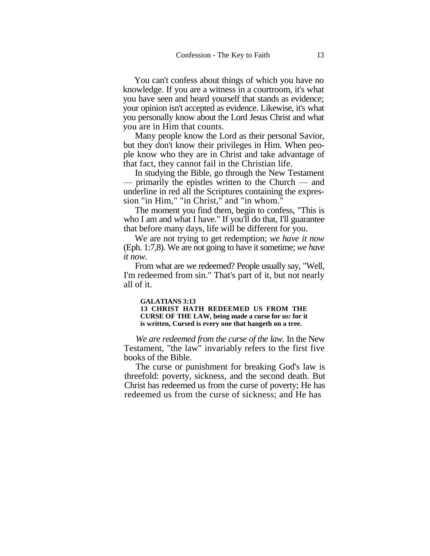You can't confess about things of which you have no knowledge. If you are a witness in a courtroom, it's what you have seen and heard yourself that stands as evidence; your opinion isn't accepted as evidence. Likewise, it's what you personally know about the Lord Jesus Christ and what you are in Him that counts.

Many people know the Lord as their personal Savior, but they don't know their privileges in Him. When people know who they are in Christ and take advantage of that fact, they cannot fail in the Christian life.

In studying the Bible, go through the New Testament — primarily the epistles written to the Church — and underline in red all the Scriptures containing the expression "in Him," "in Christ," and "in whom."

The moment you find them, begin to confess, "This is who I am and what I have." If you'll do that, I'll guarantee that before many days, life will be different for you.

We are not trying to get redemption; *we have it now*  (Eph. 1:7,8). We are not going to have it sometime; *we have it now.*

From what are we redeemed? People usually say, "Well, I'm redeemed from sin." That's part of it, but not nearly all of it.

#### **GALATIANS 3:13**

#### **13 CHRIST HATH REDEEMED US FROM THE CURSE OF THE LAW, being made a curse for us: for it is written, Cursed is every one that hangeth on a tree.**

*We are redeemed from the curse of the law.* In the New Testament, "the law" invariably refers to the first five books of the Bible.

The curse or punishment for breaking God's law is threefold: poverty, sickness, and the second death. But Christ has redeemed us from the curse of poverty; He has redeemed us from the curse of sickness; and He has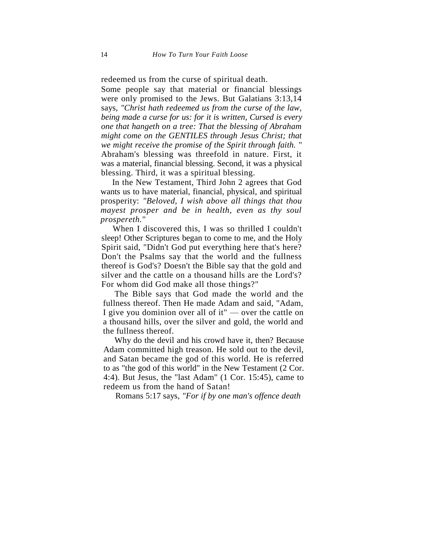redeemed us from the curse of spiritual death.

Some people say that material or financial blessings were only promised to the Jews. But Galatians 3:13,14 says, *"Christ hath redeemed us from the curse of the law, being made a curse for us: for it is written, Cursed is every one that hangeth on a tree: That the blessing of Abraham might come on the GENTILES through Jesus Christ; that we might receive the promise of the Spirit through faith.* " Abraham's blessing was threefold in nature. First, it was a material, financial blessing. Second, it was a physical blessing. Third, it was a spiritual blessing.

In the New Testament, Third John 2 agrees that God wants us to have material, financial, physical, and spiritual prosperity: *"Beloved, I wish above all things that thou mayest prosper and be in health, even as thy soul prospereth.*"

When I discovered this, I was so thrilled I couldn't sleep! Other Scriptures began to come to me, and the Holy Spirit said, "Didn't God put everything here that's here? Don't the Psalms say that the world and the fullness thereof is God's? Doesn't the Bible say that the gold and silver and the cattle on a thousand hills are the Lord's? For whom did God make all those things?"

The Bible says that God made the world and the fullness thereof. Then He made Adam and said, "Adam, I give you dominion over all of it" — over the cattle on a thousand hills, over the silver and gold, the world and the fullness thereof.

Why do the devil and his crowd have it, then? Because Adam committed high treason. He sold out to the devil, and Satan became the god of this world. He is referred to as "the god of this world" in the New Testament (2 Cor. 4:4). But Jesus, the "last Adam" (1 Cor. 15:45), came to redeem us from the hand of Satan!

Romans 5:17 says, *"For if by one man's offence death*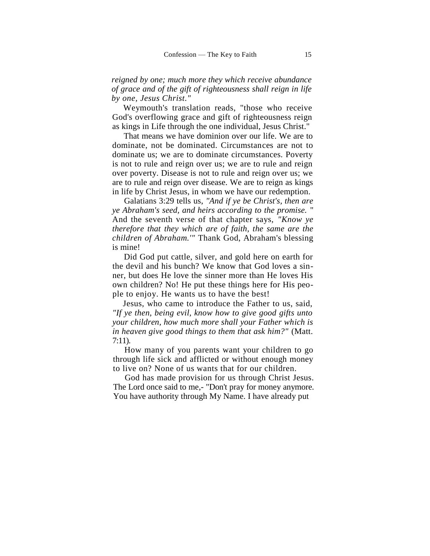*reigned by one; much more they which receive abundance of grace and of the gift of righteousness shall reign in life by one, Jesus Christ."*

Weymouth's translation reads, "those who receive God's overflowing grace and gift of righteousness reign as kings in Life through the one individual, Jesus Christ."

That means we have dominion over our life. We are to dominate, not be dominated. Circumstances are not to dominate us; we are to dominate circumstances. Poverty is not to rule and reign over us; we are to rule and reign over poverty. Disease is not to rule and reign over us; we are to rule and reign over disease. We are to reign as kings in life by Christ Jesus, in whom we have our redemption.

Galatians 3:29 tells us, *"And if ye be Christ's, then are ye Abraham's seed, and heirs according to the promise.* " And the seventh verse of that chapter says, *"Know ye therefore that they which are of faith, the same are the children of Abraham.'"* Thank God, Abraham's blessing is mine!

Did God put cattle, silver, and gold here on earth for the devil and his bunch? We know that God loves a sinner, but does He love the sinner more than He loves His own children? No! He put these things here for His people to enjoy. He wants us to have the best!

Jesus, who came to introduce the Father to us, said, *"If ye then, being evil, know how to give good gifts unto your children, how much more shall your Father which is in heaven give good things to them that ask him?"* (Matt. 7:11).

How many of you parents want your children to go through life sick and afflicted or without enough money to live on? None of us wants that for our children.

God has made provision for us through Christ Jesus. The Lord once said to me,- "Don't pray for money anymore. You have authority through My Name. I have already put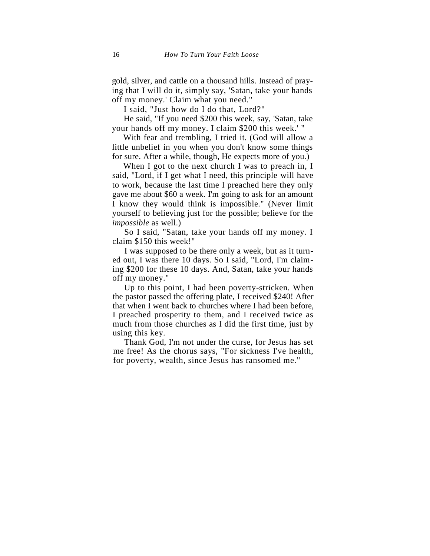gold, silver, and cattle on a thousand hills. Instead of praying that I will do it, simply say, 'Satan, take your hands off my money.' Claim what you need."

I said, "Just how do I do that, Lord?"

He said, "If you need \$200 this week, say, 'Satan, take your hands off my money. I claim \$200 this week.' "

With fear and trembling, I tried it. (God will allow a little unbelief in you when you don't know some things for sure. After a while, though, He expects more of you.)

When I got to the next church I was to preach in, I said, "Lord, if I get what I need, this principle will have to work, because the last time I preached here they only gave me about \$60 a week. I'm going to ask for an amount I know they would think is impossible." (Never limit yourself to believing just for the possible; believe for the *impossible* as well.)

So I said, "Satan, take your hands off my money. I claim \$150 this week!"

I was supposed to be there only a week, but as it turned out, I was there 10 days. So I said, "Lord, I'm claiming \$200 for these 10 days. And, Satan, take your hands off my money."

Up to this point, I had been poverty-stricken. When the pastor passed the offering plate, I received \$240! After that when I went back to churches where I had been before, I preached prosperity to them, and I received twice as much from those churches as I did the first time, just by using this key.

Thank God, I'm not under the curse, for Jesus has set me free! As the chorus says, "For sickness I've health, for poverty, wealth, since Jesus has ransomed me."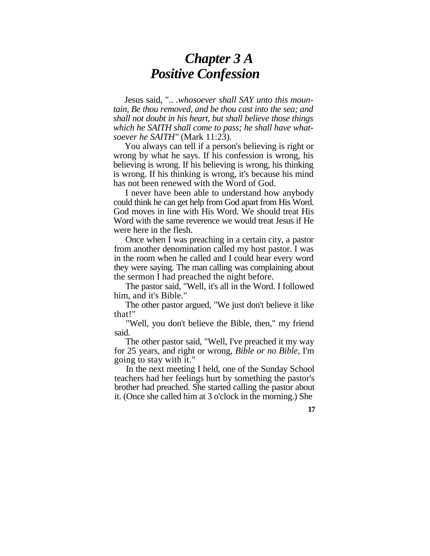## *Chapter 3 A Positive Confession*

Jesus said, ".. *.whosoever shall SAY unto this mountain, Be thou removed, and be thou cast into the sea; and shall not doubt in his heart, but shall believe those things which he SAITH shall come to pass; he shall have whatsoever he SAITH"* (Mark 11:23).

You always can tell if a person's believing is right or wrong by what he says. If his confession is wrong, his believing is wrong. If his believing is wrong, his thinking is wrong. If his thinking is wrong, it's because his mind has not been renewed with the Word of God.

I never have been able to understand how anybody could think he can get help from God apart from His Word. God moves in line with His Word. We should treat His Word with the same reverence we would treat Jesus if He were here in the flesh.

Once when I was preaching in a certain city, a pastor from another denomination called my host pastor. I was in the room when he called and I could hear every word they were saying. The man calling was complaining about the sermon I had preached the night before.

The pastor said, "Well, it's all in the Word. I followed him, and it's Bible."

The other pastor argued, "We just don't believe it like that!"

"Well, you don't believe the Bible, then," my friend said.

The other pastor said, "Well, I've preached it my way for 25 years, and right or wrong, *Bible or no Bible,* I'm going to stay with it."

In the next meeting I held, one of the Sunday School teachers had her feelings hurt by something the pastor's brother had preached. She started calling the pastor about it. (Once she called him at 3 o'clock in the morning.) She

**17**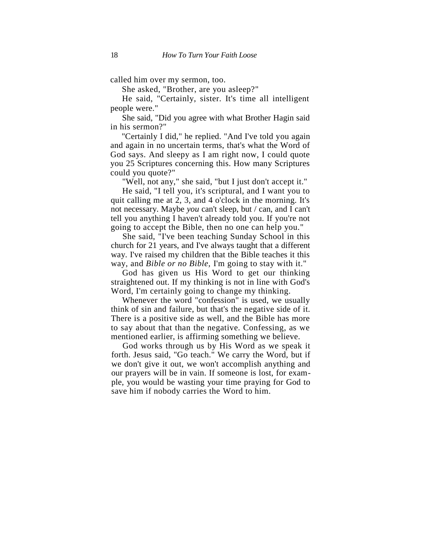called him over my sermon, too.

She asked, "Brother, are you asleep?"

He said, "Certainly, sister. It's time all intelligent people were."

She said, "Did you agree with what Brother Hagin said in his sermon?"

"Certainly I did," he replied. "And I've told you again and again in no uncertain terms, that's what the Word of God says. And sleepy as I am right now, I could quote you 25 Scriptures concerning this. How many Scriptures could you quote?"

"Well, not any," she said, "but I just don't accept it."

He said, "I tell you, it's scriptural, and I want you to quit calling me at 2, 3, and 4 o'clock in the morning. It's not necessary. Maybe *you* can't sleep, but / can, and I can't tell you anything I haven't already told you. If you're not going to accept the Bible, then no one can help you."

She said, "I've been teaching Sunday School in this church for 21 years, and I've always taught that a different way. I've raised my children that the Bible teaches it this way, and *Bible or no Bible,* I'm going to stay with it."

God has given us His Word to get our thinking straightened out. If my thinking is not in line with God's Word, I'm certainly going to change my thinking.

Whenever the word "confession" is used, we usually think of sin and failure, but that's the negative side of it. There is a positive side as well, and the Bible has more to say about that than the negative. Confessing, as we mentioned earlier, is affirming something we believe.

God works through us by His Word as we speak it forth. Jesus said, "Go teach." We carry the Word, but if we don't give it out, we won't accomplish anything and our prayers will be in vain. If someone is lost, for example, you would be wasting your time praying for God to save him if nobody carries the Word to him.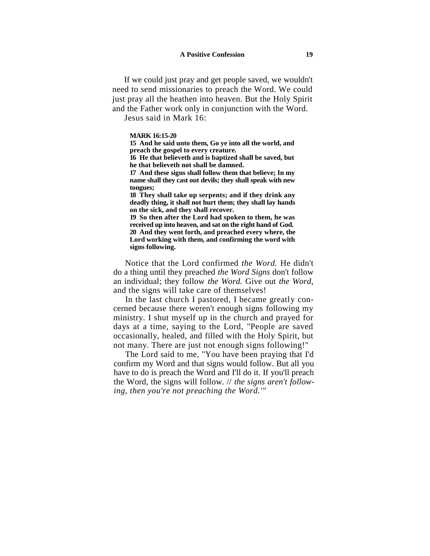If we could just pray and get people saved, we wouldn't need to send missionaries to preach the Word. We could just pray all the heathen into heaven. But the Holy Spirit and the Father work only in conjunction with the Word.

Jesus said in Mark 16:

#### **MARK 16:15-20**

**15 And he said unto them, Go ye into all the world, and preach the gospel to every creature.**

**16 He that believeth and is baptized shall be saved, but he that believeth not shall be damned.**

**17 And these signs shall follow them that believe; In my name shall they cast out devils; they shall speak with new tongues;**

**18 They shall take up serpents; and if they drink any deadly thing, it shall not hurt them; they shall lay hands on the sick, and they shall recover.**

**19 So then after the Lord had spoken to them, he was received up into heaven, and sat on the right hand of God. 20 And they went forth, and preached every where, the Lord working with them, and confirming the word with signs following.**

Notice that the Lord confirmed *the Word.* He didn't do a thing until they preached *the Word Signs* don't follow an individual; they follow *the Word.* Give out *the Word,*  and the signs will take care of themselves!

In the last church I pastored, I became greatly concerned because there weren't enough signs following my ministry. I shut myself up in the church and prayed for days at a time, saying to the Lord, "People are saved occasionally, healed, and filled with the Holy Spirit, but not many. There are just not enough signs following!"

The Lord said to me, "You have been praying that I'd confirm my Word and that signs would follow. But all you have to do is preach the Word and I'll do it. If you'll preach the Word, the signs will follow. // *the signs aren't following, then you're not preaching the Word.'"*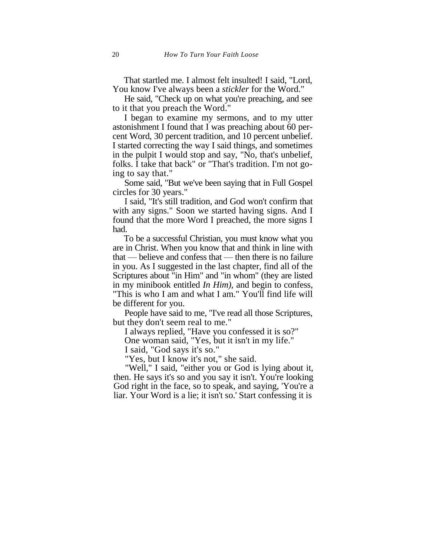That startled me. I almost felt insulted! I said, "Lord, You know I've always been a *stickler* for the Word."

He said, "Check up on what you're preaching, and see to it that you preach the Word."

I began to examine my sermons, and to my utter astonishment I found that I was preaching about 60 percent Word, 30 percent tradition, and 10 percent unbelief. I started correcting the way I said things, and sometimes in the pulpit I would stop and say, "No, that's unbelief, folks. I take that back" or "That's tradition. I'm not going to say that."

Some said, "But we've been saying that in Full Gospel circles for 30 years."

I said, "It's still tradition, and God won't confirm that with any signs." Soon we started having signs. And I found that the more Word I preached, the more signs I had.

To be a successful Christian, you must know what you are in Christ. When you know that and think in line with that — believe and confess that — then there is no failure in you. As I suggested in the last chapter, find all of the Scriptures about "in Him" and "in whom" (they are listed in my minibook entitled *In Him),* and begin to confess, "This is who I am and what I am." You'll find life will be different for you.

People have said to me, "I've read all those Scriptures, but they don't seem real to me."

I always replied, "Have you confessed it is so?"

One woman said, "Yes, but it isn't in my life."

I said, "God says it's so."

"Yes, but I know it's not," she said.

"Well," I said, "either you or God is lying about it, then. He says it's so and you say it isn't. You're looking God right in the face, so to speak, and saying, 'You're a liar. Your Word is a lie; it isn't so.' Start confessing it is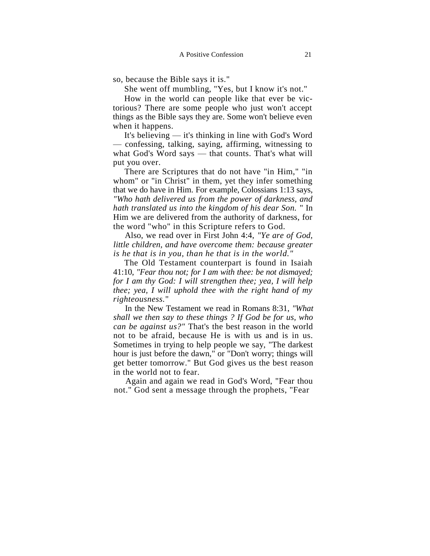so, because the Bible says it is."

She went off mumbling, "Yes, but I know it's not."

How in the world can people like that ever be victorious? There are some people who just won't accept things as the Bible says they are. Some won't believe even when it happens.

It's believing — it's thinking in line with God's Word — confessing, talking, saying, affirming, witnessing to what God's Word says — that counts. That's what will put you over.

There are Scriptures that do not have "in Him," "in whom" or "in Christ" in them, yet they infer something that we do have in Him. For example, Colossians 1:13 says, *"Who hath delivered us from the power of darkness, and hath translated us into the kingdom of his dear Son.* " In Him we are delivered from the authority of darkness, for the word "who" in this Scripture refers to God.

Also, we read over in First John 4:4, *"Ye are of God, little children, and have overcome them: because greater is he that is in you, than he that is in the world."*

The Old Testament counterpart is found in Isaiah 41:10, *"Fear thou not; for I am with thee: be not dismayed; for I am thy God: I will strengthen thee; yea, I will help thee; yea, I will uphold thee with the right hand of my righteousness.*"

In the New Testament we read in Romans 8:31, *"What shall we then say to these things ? If God be for us, who can be against us?"* That's the best reason in the world not to be afraid, because He is with us and is in us. Sometimes in trying to help people we say, "The darkest hour is just before the dawn," or "Don't worry; things will get better tomorrow." But God gives us the best reason in the world not to fear.

Again and again we read in God's Word, "Fear thou not." God sent a message through the prophets, "Fear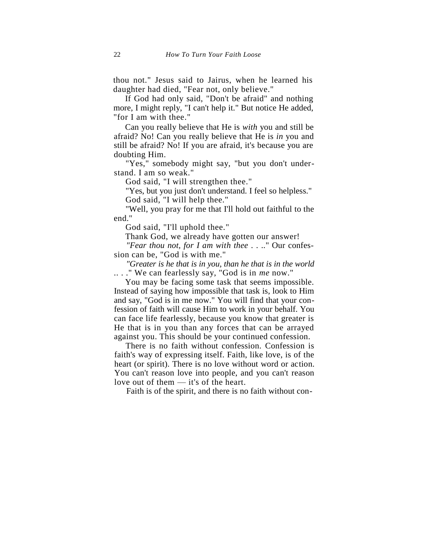thou not." Jesus said to Jairus, when he learned his daughter had died, "Fear not, only believe."

If God had only said, "Don't be afraid" and nothing more, I might reply, "I can't help it." But notice He added, "for I am with thee."

Can you really believe that He is *with* you and still be afraid? No! Can you really believe that He is *in* you and still be afraid? No! If you are afraid, it's because you are doubting Him.

"Yes," somebody might say, "but you don't understand. I am so weak."

God said, "I will strengthen thee."

"Yes, but you just don't understand. I feel so helpless." God said, "I will help thee."

"Well, you pray for me that I'll hold out faithful to the end."

God said, "I'll uphold thee."

Thank God, we already have gotten our answer!

*"Fear thou not, for I am with thee* . . .." Our confession can be, "God is with me."

*"Greater is he that is in you, than he that is in the world*  .. . ." We can fearlessly say, "God is in *me* now."

You may be facing some task that seems impossible. Instead of saying how impossible that task is, look to Him and say, "God is in me now." You will find that your confession of faith will cause Him to work in your behalf. You can face life fearlessly, because you know that greater is He that is in you than any forces that can be arrayed against you. This should be your continued confession.

There is no faith without confession. Confession is faith's way of expressing itself. Faith, like love, is of the heart (or spirit). There is no love without word or action. You can't reason love into people, and you can't reason love out of them — it's of the heart.

Faith is of the spirit, and there is no faith without con-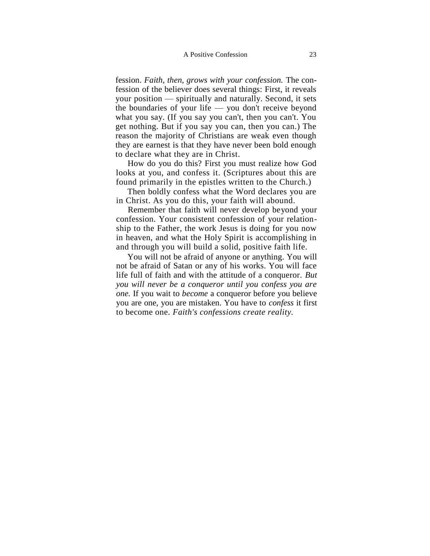fession. *Faith, then, grows with your confession.* The confession of the believer does several things: First, it reveals your position — spiritually and naturally. Second, it sets the boundaries of your life — you don't receive beyond what you say. (If you say you can't, then you can't. You get nothing. But if you say you can, then you can.) The reason the majority of Christians are weak even though they are earnest is that they have never been bold enough to declare what they are in Christ.

How do you do this? First you must realize how God looks at you, and confess it. (Scriptures about this are found primarily in the epistles written to the Church.)

Then boldly confess what the Word declares you are in Christ. As you do this, your faith will abound.

Remember that faith will never develop beyond your confession. Your consistent confession of your relationship to the Father, the work Jesus is doing for you now in heaven, and what the Holy Spirit is accomplishing in and through you will build a solid, positive faith life.

You will not be afraid of anyone or anything. You will not be afraid of Satan or any of his works. You will face life full of faith and with the attitude of a conqueror. *But you will never be a conqueror until you confess you are one.* If you wait to *become* a conqueror before you believe you are one, you are mistaken. You have to *confess* it first to become one. *Faith's confessions create reality.*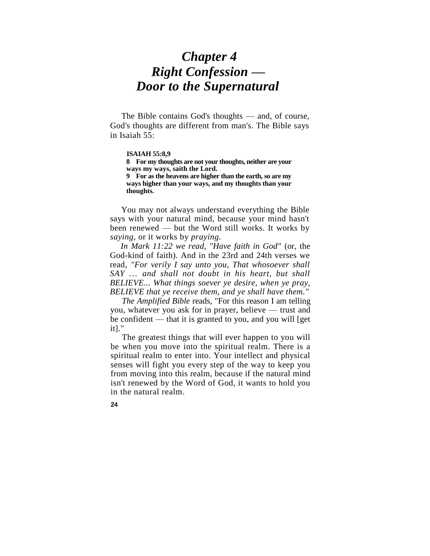## *Chapter 4 Right Confession* **—** *Door to the Supernatural*

The Bible contains God's thoughts — and, of course, God's thoughts are different from man's. The Bible says in Isaiah 55:

#### **ISAIAH 55:8,9**

**8 For my thoughts are not your thoughts, neither are your ways my ways, saith the Lord.**

**9 For as the heavens are higher than the earth, so are my ways higher than your ways, and my thoughts than your thoughts.**

You may not always understand everything the Bible says with your natural mind, because your mind hasn't been renewed — but the Word still works. It works by *saying,* or it works by *praying.*

*In Mark 11:22 we read, "Have faith in God"* (or, the God-kind of faith). And in the 23rd and 24th verses we read, *"For verily I say unto you, That whosoever shall SAY ... and shall not doubt in his heart, but shall BELIEVE... What things soever ye desire, when ye pray, BELIEVE that ye receive them, and ye shall have them.*"

*The Amplified Bible* reads, "For this reason I am telling you, whatever you ask for in prayer, believe — trust and be confident — that it is granted to you, and you will [get it]."

The greatest things that will ever happen to you will be when you move into the spiritual realm. There is a spiritual realm to enter into. Your intellect and physical senses will fight you every step of the way to keep you from moving into this realm, because if the natural mind isn't renewed by the Word of God, it wants to hold you in the natural realm.

**<sup>24</sup>**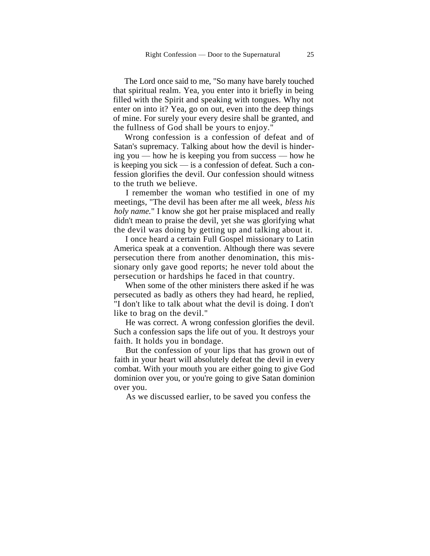The Lord once said to me, "So many have barely touched that spiritual realm. Yea, you enter into it briefly in being filled with the Spirit and speaking with tongues. Why not enter on into it? Yea, go on out, even into the deep things of mine. For surely your every desire shall be granted, and the fullness of God shall be yours to enjoy."

Wrong confession is a confession of defeat and of Satan's supremacy. Talking about how the devil is hindering you — how he is keeping you from success — how he is keeping you sick — is a confession of defeat. Such a confession glorifies the devil. Our confession should witness to the truth we believe.

I remember the woman who testified in one of my meetings, "The devil has been after me all week, *bless his holy name.*" I know she got her praise misplaced and really didn't mean to praise the devil, yet she was glorifying what the devil was doing by getting up and talking about it.

I once heard a certain Full Gospel missionary to Latin America speak at a convention. Although there was severe persecution there from another denomination, this missionary only gave good reports; he never told about the persecution or hardships he faced in that country.

When some of the other ministers there asked if he was persecuted as badly as others they had heard, he replied, "I don't like to talk about what the devil is doing. I don't like to brag on the devil."

He was correct. A wrong confession glorifies the devil. Such a confession saps the life out of you. It destroys your faith. It holds you in bondage.

But the confession of your lips that has grown out of faith in your heart will absolutely defeat the devil in every combat. With your mouth you are either going to give God dominion over you, or you're going to give Satan dominion over you.

As we discussed earlier, to be saved you confess the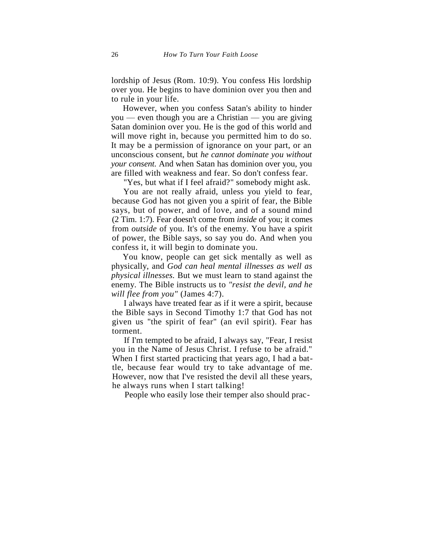lordship of Jesus (Rom. 10:9). You confess His lordship over you. He begins to have dominion over you then and to rule in your life.

However, when you confess Satan's ability to hinder you — even though you are a Christian — you are giving Satan dominion over you. He is the god of this world and will move right in, because you permitted him to do so. It may be a permission of ignorance on your part, or an unconscious consent, but *he cannot dominate you without your consent.* And when Satan has dominion over you, you are filled with weakness and fear. So don't confess fear.

"Yes, but what if I feel afraid?" somebody might ask.

You are not really afraid, unless you yield to fear, because God has not given you a spirit of fear, the Bible says, but of power, and of love, and of a sound mind (2 Tim. 1:7). Fear doesn't come from *inside* of you; it comes from *outside* of you. It's of the enemy. You have a spirit of power, the Bible says, so say you do. And when you confess it, it will begin to dominate you.

You know, people can get sick mentally as well as physically, and *God can heal mental illnesses as well as physical illnesses.* But we must learn to stand against the enemy. The Bible instructs us to *"resist the devil, and he will flee from you"* (James 4:7).

I always have treated fear as if it were a spirit, because the Bible says in Second Timothy 1:7 that God has not given us "the spirit of fear" (an evil spirit). Fear has torment.

If I'm tempted to be afraid, I always say, "Fear, I resist you in the Name of Jesus Christ. I refuse to be afraid." When I first started practicing that years ago, I had a battle, because fear would try to take advantage of me. However, now that I've resisted the devil all these years, he always runs when I start talking!

People who easily lose their temper also should prac-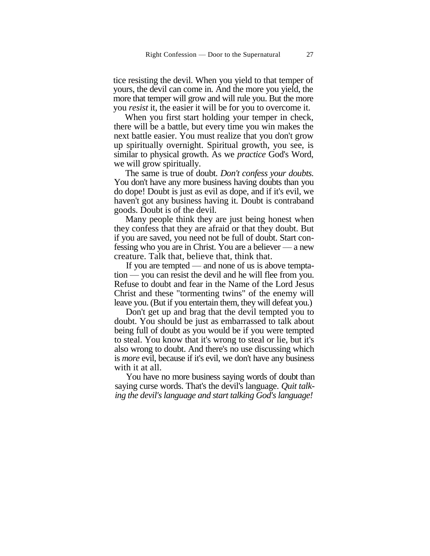tice resisting the devil. When you yield to that temper of yours, the devil can come in. And the more you yield, the more that temper will grow and will rule you. But the more you *resist* it, the easier it will be for you to overcome it.

When you first start holding your temper in check, there will be a battle, but every time you win makes the next battle easier. You must realize that you don't grow up spiritually overnight. Spiritual growth, you see, is similar to physical growth. As we *practice* God's Word, we will grow spiritually.

The same is true of doubt. *Don't confess your doubts.*  You don't have any more business having doubts than you do dope! Doubt is just as evil as dope, and if it's evil, we haven't got any business having it. Doubt is contraband goods. Doubt is of the devil.

Many people think they are just being honest when they confess that they are afraid or that they doubt. But if you are saved, you need not be full of doubt. Start confessing who you are in Christ. You are a believer — a new creature. Talk that, believe that, think that.

If you are tempted — and none of us is above temptation — you can resist the devil and he will flee from you. Refuse to doubt and fear in the Name of the Lord Jesus Christ and these "tormenting twins" of the enemy will leave you. (But if you entertain them, they will defeat you.)

Don't get up and brag that the devil tempted you to doubt. You should be just as embarrassed to talk about being full of doubt as you would be if you were tempted to steal. You know that it's wrong to steal or lie, but it's also wrong to doubt. And there's no use discussing which is *more* evil, because if it's evil, we don't have any business with it at all.

You have no more business saying words of doubt than saying curse words. That's the devil's language. *Quit talking the devil's language and start talking God's language!*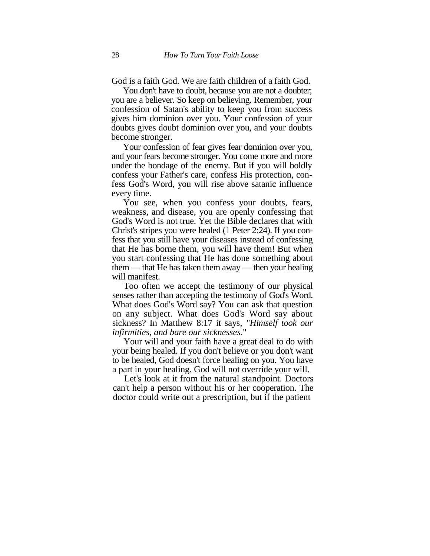God is a faith God. We are faith children of a faith God.

You don't have to doubt, because you are not a doubter; you are a believer. So keep on believing. Remember, your confession of Satan's ability to keep you from success gives him dominion over you. Your confession of your doubts gives doubt dominion over you, and your doubts become stronger.

Your confession of fear gives fear dominion over you, and your fears become stronger. You come more and more under the bondage of the enemy. But if you will boldly confess your Father's care, confess His protection, confess God's Word, you will rise above satanic influence every time.

You see, when you confess your doubts, fears, weakness, and disease, you are openly confessing that God's Word is not true. Yet the Bible declares that with Christ's stripes you were healed (1 Peter 2:24). If you confess that you still have your diseases instead of confessing that He has borne them, you will have them! But when you start confessing that He has done something about them — that He has taken them away — then your healing will manifest.

Too often we accept the testimony of our physical senses rather than accepting the testimony of God's Word. What does God's Word say? You can ask that question on any subject. What does God's Word say about sickness? In Matthew 8:17 it says, *"Himself took our infirmities, and bare our sicknesses.*"

Your will and your faith have a great deal to do with your being healed. If you don't believe or you don't want to be healed, God doesn't force healing on you. You have a part in your healing. God will not override your will.

Let's look at it from the natural standpoint. Doctors can't help a person without his or her cooperation. The doctor could write out a prescription, but if the patient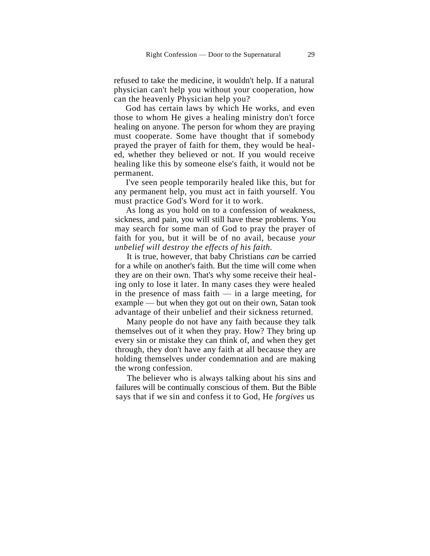refused to take the medicine, it wouldn't help. If a natural physician can't help you without your cooperation, how can the heavenly Physician help you?

God has certain laws by which He works, and even those to whom He gives a healing ministry don't force healing on anyone. The person for whom they are praying must cooperate. Some have thought that if somebody prayed the prayer of faith for them, they would be healed, whether they believed or not. If you would receive healing like this by someone else's faith, it would not be permanent.

I've seen people temporarily healed like this, but for any permanent help, you must act in faith yourself. You must practice God's Word for it to work.

As long as you hold on to a confession of weakness, sickness, and pain, you will still have these problems. You may search for some man of God to pray the prayer of faith for you, but it will be of no avail, because *your unbelief will destroy the effects of his faith.*

It is true, however, that baby Christians *can* be carried for a while on another's faith. But the time will come when they are on their own. That's why some receive their healing only to lose it later. In many cases they were healed in the presence of mass faith  $-$  in a large meeting, for example — but when they got out on their own, Satan took advantage of their unbelief and their sickness returned.

Many people do not have any faith because they talk themselves out of it when they pray. How? They bring up every sin or mistake they can think of, and when they get through, they don't have any faith at all because they are holding themselves under condemnation and are making the wrong confession.

The believer who is always talking about his sins and failures will be continually conscious of them. But the Bible says that if we sin and confess it to God, He *forgives* us